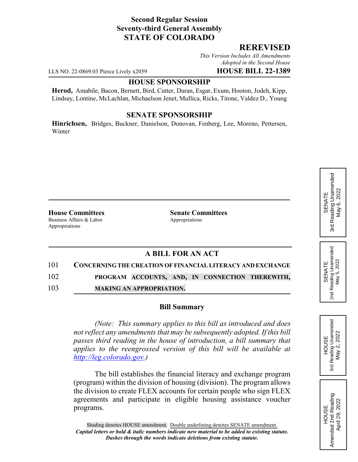## **Second Regular Session Seventy-third General Assembly STATE OF COLORADO**

## **REREVISED**

*This Version Includes All Amendments Adopted in the Second House*

LLS NO. 22-0869.03 Pierce Lively x2059 **HOUSE BILL 22-1389**

### **HOUSE SPONSORSHIP**

**Herod,** Amabile, Bacon, Bernett, Bird, Cutter, Duran, Esgar, Exum, Hooton, Jodeh, Kipp, Lindsay, Lontine, McLachlan, Michaelson Jenet, Mullica, Ricks, Titone, Valdez D., Young

### **SENATE SPONSORSHIP**

**Hinrichsen,** Bridges, Buckner, Danielson, Donovan, Fenberg, Lee, Moreno, Pettersen, Winter

Business Affairs & Labor Appropriations Appropriations

**House Committees Senate Committees**

# **A BILL FOR AN ACT**

## 101 **CONCERNING THE CREATION OF FINANCIAL LITERACY AND EXCHANGE**

102 **PROGRAM ACCOUNTS, AND, IN CONNECTION THEREWITH,**

103 **MAKING AN APPROPRIATION.**

#### **Bill Summary**

*(Note: This summary applies to this bill as introduced and does not reflect any amendments that may be subsequently adopted. If this bill passes third reading in the house of introduction, a bill summary that applies to the reengrossed version of this bill will be available at http://leg.colorado.gov.)*

The bill establishes the financial literacy and exchange program (program) within the division of housing (division). The program allows the division to create FLEX accounts for certain people who sign FLEX agreements and participate in eligible housing assistance voucher programs.

HOUSE<br>Reading Unamended<br>May 2, 2022 3rd Reading Unamended May 2, 2022

3rd

HOUSE<br>Amended 2nd Reading Amended 2nd Reading April 29, 2022

April 29, 2022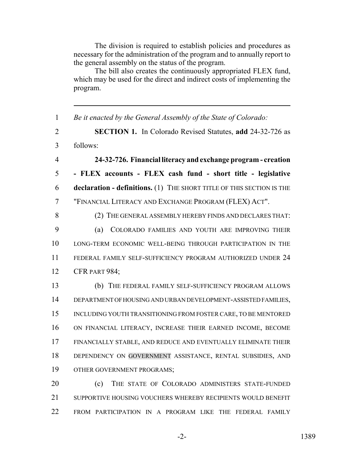The division is required to establish policies and procedures as necessary for the administration of the program and to annually report to the general assembly on the status of the program.

The bill also creates the continuously appropriated FLEX fund, which may be used for the direct and indirect costs of implementing the program.

 *Be it enacted by the General Assembly of the State of Colorado:* **SECTION 1.** In Colorado Revised Statutes, **add** 24-32-726 as follows: **24-32-726. Financial literacy and exchange program - creation - FLEX accounts - FLEX cash fund - short title - legislative declaration - definitions.** (1) THE SHORT TITLE OF THIS SECTION IS THE "FINANCIAL LITERACY AND EXCHANGE PROGRAM (FLEX) ACT". (2) THE GENERAL ASSEMBLY HEREBY FINDS AND DECLARES THAT: (a) COLORADO FAMILIES AND YOUTH ARE IMPROVING THEIR LONG-TERM ECONOMIC WELL-BEING THROUGH PARTICIPATION IN THE FEDERAL FAMILY SELF-SUFFICIENCY PROGRAM AUTHORIZED UNDER 24 CFR PART 984; (b) THE FEDERAL FAMILY SELF-SUFFICIENCY PROGRAM ALLOWS DEPARTMENT OF HOUSING AND URBAN DEVELOPMENT-ASSISTED FAMILIES, INCLUDING YOUTH TRANSITIONING FROM FOSTER CARE, TO BE MENTORED ON FINANCIAL LITERACY, INCREASE THEIR EARNED INCOME, BECOME FINANCIALLY STABLE, AND REDUCE AND EVENTUALLY ELIMINATE THEIR DEPENDENCY ON GOVERNMENT ASSISTANCE, RENTAL SUBSIDIES, AND OTHER GOVERNMENT PROGRAMS; **(c)** THE STATE OF COLORADO ADMINISTERS STATE-FUNDED SUPPORTIVE HOUSING VOUCHERS WHEREBY RECIPIENTS WOULD BENEFIT

22 FROM PARTICIPATION IN A PROGRAM LIKE THE FEDERAL FAMILY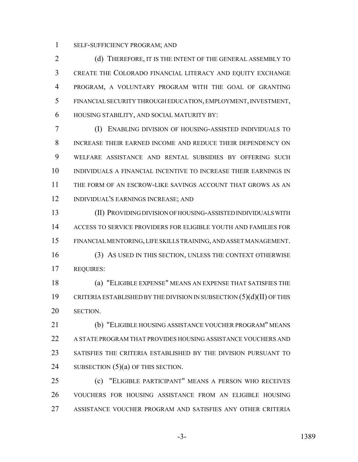SELF-SUFFICIENCY PROGRAM; AND

2 (d) THEREFORE, IT IS THE INTENT OF THE GENERAL ASSEMBLY TO CREATE THE COLORADO FINANCIAL LITERACY AND EQUITY EXCHANGE PROGRAM, A VOLUNTARY PROGRAM WITH THE GOAL OF GRANTING FINANCIAL SECURITY THROUGH EDUCATION, EMPLOYMENT, INVESTMENT, HOUSING STABILITY, AND SOCIAL MATURITY BY:

 (I) ENABLING DIVISION OF HOUSING-ASSISTED INDIVIDUALS TO INCREASE THEIR EARNED INCOME AND REDUCE THEIR DEPENDENCY ON WELFARE ASSISTANCE AND RENTAL SUBSIDIES BY OFFERING SUCH INDIVIDUALS A FINANCIAL INCENTIVE TO INCREASE THEIR EARNINGS IN THE FORM OF AN ESCROW-LIKE SAVINGS ACCOUNT THAT GROWS AS AN INDIVIDUAL'S EARNINGS INCREASE; AND

 (II) PROVIDING DIVISION OF HOUSING-ASSISTED INDIVIDUALS WITH ACCESS TO SERVICE PROVIDERS FOR ELIGIBLE YOUTH AND FAMILIES FOR FINANCIAL MENTORING, LIFE SKILLS TRAINING, AND ASSET MANAGEMENT.

 (3) AS USED IN THIS SECTION, UNLESS THE CONTEXT OTHERWISE REQUIRES:

 (a) "ELIGIBLE EXPENSE" MEANS AN EXPENSE THAT SATISFIES THE CRITERIA ESTABLISHED BY THE DIVISION IN SUBSECTION (5)(d)(II) OF THIS SECTION.

 (b) "ELIGIBLE HOUSING ASSISTANCE VOUCHER PROGRAM" MEANS A STATE PROGRAM THAT PROVIDES HOUSING ASSISTANCE VOUCHERS AND SATISFIES THE CRITERIA ESTABLISHED BY THE DIVISION PURSUANT TO 24 SUBSECTION  $(5)(a)$  OF THIS SECTION.

 (c) "ELIGIBLE PARTICIPANT" MEANS A PERSON WHO RECEIVES VOUCHERS FOR HOUSING ASSISTANCE FROM AN ELIGIBLE HOUSING ASSISTANCE VOUCHER PROGRAM AND SATISFIES ANY OTHER CRITERIA

-3- 1389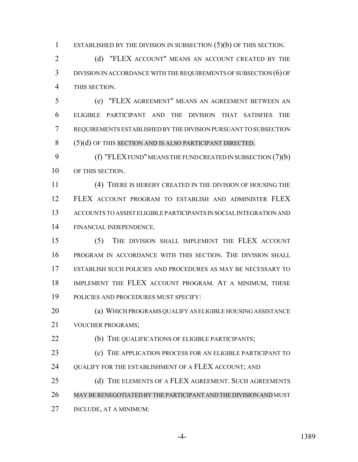1 ESTABLISHED BY THE DIVISION IN SUBSECTION (5)(b) OF THIS SECTION.

2 (d) "FLEX ACCOUNT" MEANS AN ACCOUNT CREATED BY THE DIVISION IN ACCORDANCE WITH THE REQUIREMENTS OF SUBSECTION (6) OF THIS SECTION.

 (e) "FLEX AGREEMENT" MEANS AN AGREEMENT BETWEEN AN ELIGIBLE PARTICIPANT AND THE DIVISION THAT SATISFIES THE REQUIREMENTS ESTABLISHED BY THE DIVISION PURSUANT TO SUBSECTION 8 (5)(d) OF THIS SECTION AND IS ALSO PARTICIPANT DIRECTED.

9 (f) "FLEX FUND" MEANS THE FUND CREATED IN SUBSECTION (7)(b) OF THIS SECTION.

 (4) THERE IS HEREBY CREATED IN THE DIVISION OF HOUSING THE FLEX ACCOUNT PROGRAM TO ESTABLISH AND ADMINISTER FLEX ACCOUNTS TO ASSIST ELIGIBLE PARTICIPANTS IN SOCIAL INTEGRATION AND FINANCIAL INDEPENDENCE.

 (5) THE DIVISION SHALL IMPLEMENT THE FLEX ACCOUNT PROGRAM IN ACCORDANCE WITH THIS SECTION. THE DIVISION SHALL ESTABLISH SUCH POLICIES AND PROCEDURES AS MAY BE NECESSARY TO IMPLEMENT THE FLEX ACCOUNT PROGRAM. AT A MINIMUM, THESE POLICIES AND PROCEDURES MUST SPECIFY:

 (a) WHICH PROGRAMS QUALIFY AS ELIGIBLE HOUSING ASSISTANCE VOUCHER PROGRAMS;

**(b)** THE QUALIFICATIONS OF ELIGIBLE PARTICIPANTS;

 (c) THE APPLICATION PROCESS FOR AN ELIGIBLE PARTICIPANT TO 24 OUALIFY FOR THE ESTABLISHMENT OF A FLEX ACCOUNT; AND

25 (d) THE ELEMENTS OF A FLEX AGREEMENT. SUCH AGREEMENTS MAY BE RENEGOTIATED BY THE PARTICIPANT AND THE DIVISION AND MUST

INCLUDE, AT A MINIMUM: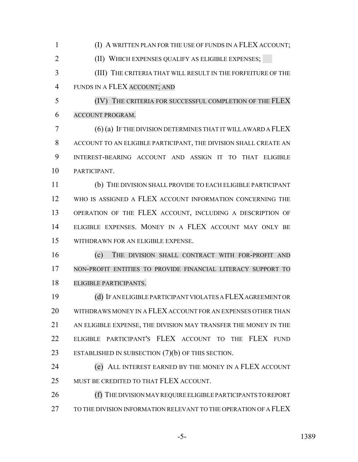(I) A WRITTEN PLAN FOR THE USE OF FUNDS IN A FLEX ACCOUNT;

(II) WHICH EXPENSES QUALIFY AS ELIGIBLE EXPENSES;

 (III) THE CRITERIA THAT WILL RESULT IN THE FORFEITURE OF THE FUNDS IN A FLEX ACCOUNT; AND

 (IV) THE CRITERIA FOR SUCCESSFUL COMPLETION OF THE FLEX ACCOUNT PROGRAM.

 (6) (a) IF THE DIVISION DETERMINES THAT IT WILL AWARD A FLEX ACCOUNT TO AN ELIGIBLE PARTICIPANT, THE DIVISION SHALL CREATE AN INTEREST-BEARING ACCOUNT AND ASSIGN IT TO THAT ELIGIBLE PARTICIPANT.

 (b) THE DIVISION SHALL PROVIDE TO EACH ELIGIBLE PARTICIPANT WHO IS ASSIGNED A FLEX ACCOUNT INFORMATION CONCERNING THE 13 OPERATION OF THE FLEX ACCOUNT, INCLUDING A DESCRIPTION OF ELIGIBLE EXPENSES. MONEY IN A FLEX ACCOUNT MAY ONLY BE WITHDRAWN FOR AN ELIGIBLE EXPENSE.

 (c) THE DIVISION SHALL CONTRACT WITH FOR-PROFIT AND NON-PROFIT ENTITIES TO PROVIDE FINANCIAL LITERACY SUPPORT TO ELIGIBLE PARTICIPANTS.

 (d) IF AN ELIGIBLE PARTICIPANT VIOLATES A FLEX AGREEMENT OR WITHDRAWS MONEY IN A FLEX ACCOUNT FOR AN EXPENSES OTHER THAN 21 AN ELIGIBLE EXPENSE, THE DIVISION MAY TRANSFER THE MONEY IN THE ELIGIBLE PARTICIPANT'S FLEX ACCOUNT TO THE FLEX FUND ESTABLISHED IN SUBSECTION (7)(b) OF THIS SECTION.

 (e) ALL INTEREST EARNED BY THE MONEY IN A FLEX ACCOUNT 25 MUST BE CREDITED TO THAT FLEX ACCOUNT.

 (f) THE DIVISION MAY REQUIRE ELIGIBLE PARTICIPANTS TO REPORT 27 TO THE DIVISION INFORMATION RELEVANT TO THE OPERATION OF A FLEX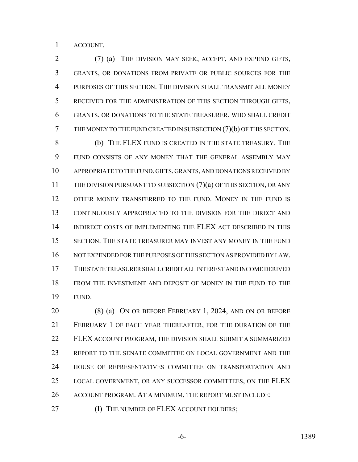ACCOUNT.

 (7) (a) THE DIVISION MAY SEEK, ACCEPT, AND EXPEND GIFTS, GRANTS, OR DONATIONS FROM PRIVATE OR PUBLIC SOURCES FOR THE PURPOSES OF THIS SECTION. THE DIVISION SHALL TRANSMIT ALL MONEY RECEIVED FOR THE ADMINISTRATION OF THIS SECTION THROUGH GIFTS, GRANTS, OR DONATIONS TO THE STATE TREASURER, WHO SHALL CREDIT THE MONEY TO THE FUND CREATED IN SUBSECTION (7)(b) OF THIS SECTION. (b) THE FLEX FUND IS CREATED IN THE STATE TREASURY. THE FUND CONSISTS OF ANY MONEY THAT THE GENERAL ASSEMBLY MAY APPROPRIATE TO THE FUND, GIFTS, GRANTS, AND DONATIONS RECEIVED BY 11 THE DIVISION PURSUANT TO SUBSECTION (7)(a) OF THIS SECTION, OR ANY 12 OTHER MONEY TRANSFERRED TO THE FUND. MONEY IN THE FUND IS CONTINUOUSLY APPROPRIATED TO THE DIVISION FOR THE DIRECT AND INDIRECT COSTS OF IMPLEMENTING THE FLEX ACT DESCRIBED IN THIS SECTION. THE STATE TREASURER MAY INVEST ANY MONEY IN THE FUND NOT EXPENDED FOR THE PURPOSES OF THIS SECTION AS PROVIDED BY LAW. THE STATE TREASURER SHALL CREDIT ALL INTEREST AND INCOME DERIVED FROM THE INVESTMENT AND DEPOSIT OF MONEY IN THE FUND TO THE FUND.

 (8) (a) ON OR BEFORE FEBRUARY 1, 2024, AND ON OR BEFORE FEBRUARY 1 OF EACH YEAR THEREAFTER, FOR THE DURATION OF THE FLEX ACCOUNT PROGRAM, THE DIVISION SHALL SUBMIT A SUMMARIZED REPORT TO THE SENATE COMMITTEE ON LOCAL GOVERNMENT AND THE HOUSE OF REPRESENTATIVES COMMITTEE ON TRANSPORTATION AND 25 LOCAL GOVERNMENT, OR ANY SUCCESSOR COMMITTEES, ON THE FLEX ACCOUNT PROGRAM. AT A MINIMUM, THE REPORT MUST INCLUDE:

**(I) THE NUMBER OF FLEX ACCOUNT HOLDERS;**